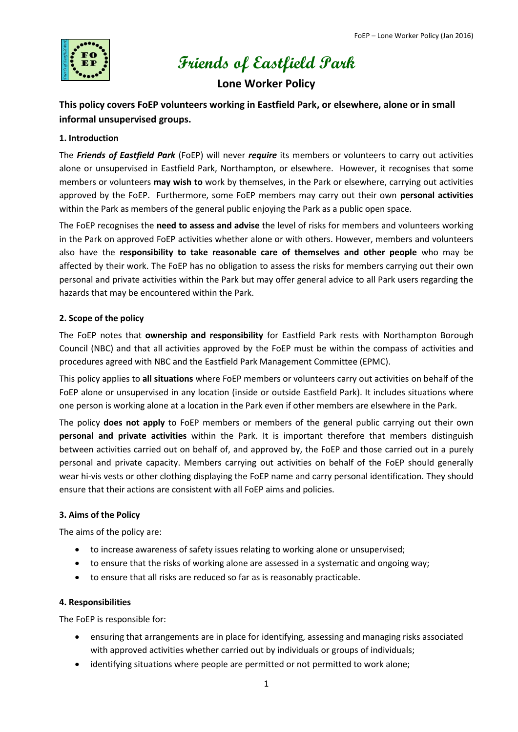

# **Friends of Eastfield Park**

# **Lone Worker Policy**

# **This policy covers FoEP volunteers working in Eastfield Park, or elsewhere, alone or in small informal unsupervised groups.**

## **1. Introduction**

The *Friends of Eastfield Park* (FoEP) will never *require* its members or volunteers to carry out activities alone or unsupervised in Eastfield Park, Northampton, or elsewhere. However, it recognises that some members or volunteers **may wish to** work by themselves, in the Park or elsewhere, carrying out activities approved by the FoEP. Furthermore, some FoEP members may carry out their own **personal activities** within the Park as members of the general public enjoying the Park as a public open space.

The FoEP recognises the **need to assess and advise** the level of risks for members and volunteers working in the Park on approved FoEP activities whether alone or with others. However, members and volunteers also have the **responsibility to take reasonable care of themselves and other people** who may be affected by their work. The FoEP has no obligation to assess the risks for members carrying out their own personal and private activities within the Park but may offer general advice to all Park users regarding the hazards that may be encountered within the Park.

# **2. Scope of the policy**

The FoEP notes that **ownership and responsibility** for Eastfield Park rests with Northampton Borough Council (NBC) and that all activities approved by the FoEP must be within the compass of activities and procedures agreed with NBC and the Eastfield Park Management Committee (EPMC).

This policy applies to **all situations** where FoEP members or volunteers carry out activities on behalf of the FoEP alone or unsupervised in any location (inside or outside Eastfield Park). It includes situations where one person is working alone at a location in the Park even if other members are elsewhere in the Park.

The policy **does not apply** to FoEP members or members of the general public carrying out their own **personal and private activities** within the Park. It is important therefore that members distinguish between activities carried out on behalf of, and approved by, the FoEP and those carried out in a purely personal and private capacity. Members carrying out activities on behalf of the FoEP should generally wear hi-vis vests or other clothing displaying the FoEP name and carry personal identification. They should ensure that their actions are consistent with all FoEP aims and policies.

# **3. Aims of the Policy**

The aims of the policy are:

- to increase awareness of safety issues relating to working alone or unsupervised;
- to ensure that the risks of working alone are assessed in a systematic and ongoing way;
- to ensure that all risks are reduced so far as is reasonably practicable.

#### **4. Responsibilities**

The FoEP is responsible for:

- ensuring that arrangements are in place for identifying, assessing and managing risks associated with approved activities whether carried out by individuals or groups of individuals;
- identifying situations where people are permitted or not permitted to work alone;